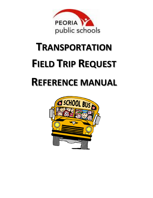

# **TRANSPORTATION FIELD TRIP REQUEST**

# **REFERENCE MANUAL**

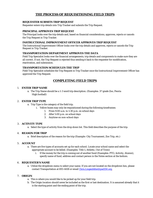## **THE PROCESS OF REQUISITIONING FIELD TRIPS**

#### **REQUESTER SUBMITS TRIP REQUEST**

Requester enters trip details into Trip Tracker and submits the Trip Request.

#### **PRINCIPAL APPROVES TRIP REQUEST**

The Principal looks over the trip details and, based on financial considerations, approves, rejects or cancels the Trip Request in Trip Tracker.

#### **INSTRUCTIONAL IMPROVEMENT OFFICER APPROVES TRIP REQUEST**

The Instructional Improvement Officer looks over the trip details and approves, rejects or cancels the Trip Request in Trip Tracker.

#### **TRANSPORTATION DEPARTMENT APPROVES THE DATA**

Field Trip Specialist looks over the financial arrangements, trip details and components to make sure they are all correct. If not, the Trip Request is rejected thus sending it back to the requester for modification, reactivation, and submission.

#### **TRANSPORTATION SCHEDULES THE TRIP**

Field Trip Specialist schedules the Trip Request in Trip Tracker once the Instructional Improvement Officer has approved the Trip Request.

### **COMPLETING FIELD TRIPS**

#### 1. **ENTER TRIP NAME**

a. The Trip Name should be a 1-3 word trip description. (Examples:  $3<sup>rd</sup>$  grade Zoo, Peoria High football)

#### 2. **ENTER TRIP TYPE**

- a. Trip Type is the category of the field trip.
	- i. Yellow buses may only be requisitioned during the following timeframes:
		- *1.* From 9:00 a.m. to 1:30 p.m. on school days
		- *2.* After 5:00 p.m. on school days
		- *3.* Anytime on non-school days

#### 3. **ACTIVITY TYPE**

a. Select the type of activity from the drop down list. This field describes the purpose of the trip.

#### 4. **REASON FOR TRIP**

a. Brief description of the reason for the trip (Example: City Tournament, Zoo Trip, etc.)

#### 5. **ACCOUNT**

- a. There are five types of accounts set up for each school. Locate your school name and select the appropriate account to be billed. (Examples: Title 1, Athletic, Out of Town)
	- i. If the money for the trip is coming out of another fund (Examples: PTO, Activity, Alumni), specify name of fund, address and contact person in the Notes section at the bottom.

#### 6. **REQUESTER'S NAME**

a. Utilize the dropdown menu to select your name. If you are not located on the dropdown box, please contact Transportation at 693-4418 or email *Chris. Lingenfelter@psd150.org.* 

#### 7. **ORIGIN**

- a. This is where you would like to be picked up for your field trip.
- b. The Origin location should never be included as the first or last destination. It is assumed already that it is the starting point and the ending point of the trip.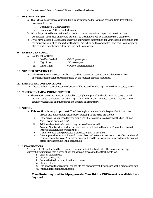c. Departure and Return Date and Times should be added next.

#### 8. **DESTINATION(S)**

- a. This is the place or places you would like to be transported to. You can have multiple destinations. See example below:
	- i. Destination 1. Glen Oak Park
	- ii. Destination 2. Riverfront Museum
- b. Fill in the provided boxes with the first destination and arrival and departure time from that destination. Then click on the Add button. The Destination will be transferred to a box below.
- c. If you have a second Destination, enter the appropriate information for your second destination into the empty boxes just as you did for the first. Then click on the Add button and this Destination will also be added into the box below with the first Destination.

#### 9. **PASSENGER COUNT**

- a. Regular Yellow Buses
	- i. Pre-K Grade 8  $=55-60$  passengers
	- ii. High School  $=50$  passengers
	- iii. Wheel Chair  $=4$  wheel chairs(typically)

#### 10. **NUMBER OF VEHICLES**

a. Utilize the information obtained above regarding passenger count to ensure that the number of students riding can be accommodated by the number of buses requested.

#### 11. **SPECIAL ACCOMMODATIONS**

a. Check this box if special accommodations will be needed for this trip. (ex. Medical or safety needs)

#### 12. **CONTACT NAME & PHONE NUMBER**

a. The contact name and number (preferably a cell phone) provided should be of the party that will be an active chaperone on the trip. This information enables contact between the Transportation Staff and the party in the event of an emergency.

#### 13. **NOTES:**

- a. **This section is very important.** The following information should be provided in the notes.
	- i. Precise pick-up locations (East side of building, in the circle drive, etc.)
	- ii. If the driver is not needed for the entire day, it is necessary to advise that the trip will be a "pick-up and drop- off only".
	- iii. Additional contact information may be noted here as well.
	- iv. Account Numbers for funding the trip must be included in the notes. Trip will be rejected without account number (principals).
	- v. If charter bus is being requested make note of that in this field.
	- vi. After approval transportation will contact Peoria Charter with estimated cost of trip and email requester with that cost. A purchase order will need to be issued and attached with the request before any charter bus will be scheduled.

#### 14. **ATTACHMENTS**

To attach file fill out the field trip request as normal and click submit. After the screen shows trip successfully submitted with a green check box you can proceed to the attachments tab.

- i. Click on attachments
- ii. Click on choose file
- iii. Locate the file from your location of choice
- iv. Click on attach
- v. One attached the screen will say the file has been successfully attached with a green check box
- vi. Attach additional files as needed

#### **Class Roster required for trip approval – Class list in a PDF format is available from Skyward**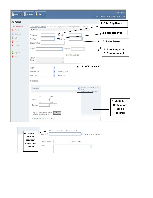| <b>View Calendar</b><br>Request a Trip | Today<br>Reports<br>Trips                                                                                                                     | <b>Support</b><br>Logout<br>Help<br><b>Legacy Reports</b><br>Admin |
|----------------------------------------|-----------------------------------------------------------------------------------------------------------------------------------------------|--------------------------------------------------------------------|
| <b>Trip Request</b>                    |                                                                                                                                               | 1. Enter Trip Name                                                 |
| Status: Unsubmitted<br>Cancel<br>Ø     | Trip Details   Trip Estimate   Directions   Scheduling   Completion   Invoicing   Payment   Trip History<br><b>Trip Details</b>               |                                                                    |
| ⋒<br>Reactivate                        | Trip Date:<br>Trip Name:                                                                                                                      | 2. Enter Trip Type                                                 |
| Ô.<br>Clone                            | v<br>Trip Type:<br>v<br>Activity Type:                                                                                                        |                                                                    |
| Close<br>В                             | Reason for Trip:                                                                                                                              | 4. Enter Reason                                                    |
| X Delete                               | Account:<br>Requester:<br>$\mathbf{v}$<br>V.                                                                                                  |                                                                    |
| 0<br>Approve                           |                                                                                                                                               | 5. Enter Requester<br>6. Enter Account #                           |
| Reject                                 | Expand Requester List<br>Account                                                                                                              |                                                                    |
|                                        | ō<br>Notes:<br>V.                                                                                                                             |                                                                    |
|                                        | 7. PICKUP POINT<br>Origin:<br>Departure Date:<br>Departure Time:<br>Return Time:<br>Return Date:<br>Destinations:                             |                                                                    |
|                                        | Can't find your destination in the<br>v<br>Destination:<br>list?<br>Click here to add a new location<br>Date<br>Time                          |                                                                    |
|                                        | v<br>Arrival:<br>Date<br>Time<br>v.<br>Departure:                                                                                             | 8. Multiple<br><b>Destinations</b><br>can be                       |
|                                        | Click "Add" to add the select location<br>Add<br>to the list of destinations for this trip.<br>No destinations have been added for this trip. | entered                                                            |

| Please make                          | Number Of:    | Special Accommodations |  |  |
|--------------------------------------|---------------|------------------------|--|--|
| sure to<br>accurately<br>assess your | Contact Name: | Contact Phone:         |  |  |
| counts                               | Notes:        |                        |  |  |